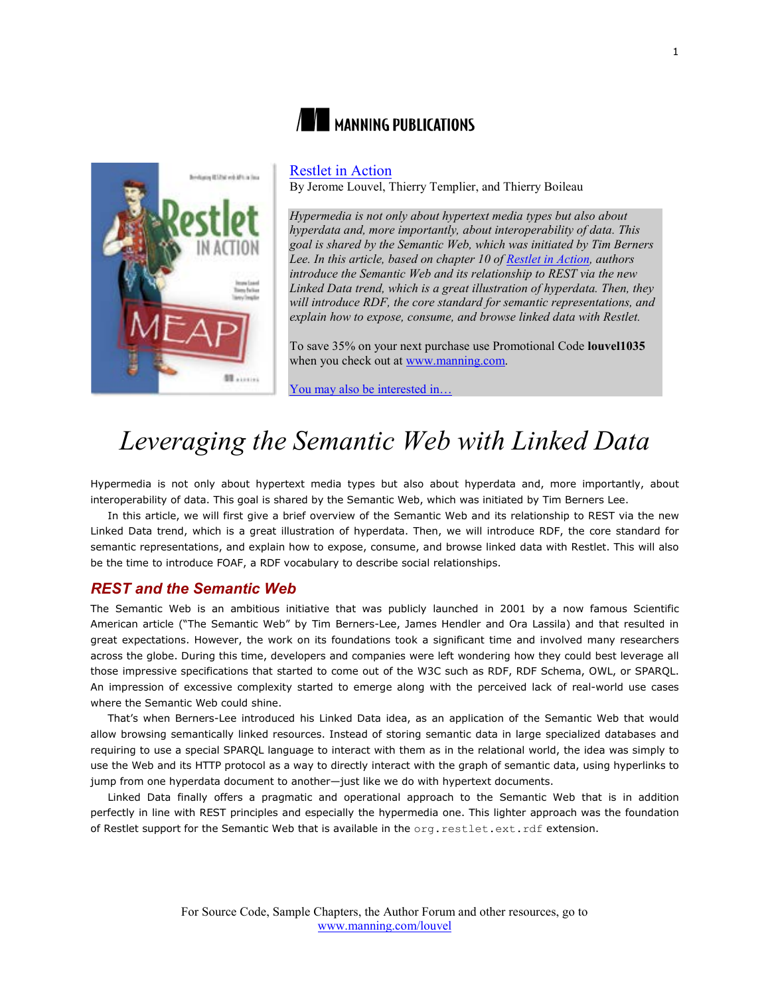

# **NE MANNING PUBLICATIONS**

### [Restlet in Action](http://www.manning.com/louvel/)

By Jerome Louvel, Thierry Templier, and Thierry Boileau

*Hypermedia is not only about hypertext media types but also about hyperdata and, more importantly, about interoperability of data. This goal is shared by the Semantic Web, which was initiated by Tim Berners Lee. In this article, based on chapter 10 of [Restlet in Action,](http://www.manning.com/louvel/) authors introduce the Semantic Web and its relationship to REST via the new Linked Data trend, which is a great illustration of hyperdata. Then, they will introduce RDF, the core standard for semantic representations, and explain how to expose, consume, and browse linked data with Restlet.*

To save 35% on your next purchase use Promotional Code **louvel1035** when you check out at [www.manning.com.](http://www.manning.com/)

You may also be interested in.

# *Leveraging the Semantic Web with Linked Data*

Hypermedia is not only about hypertext media types but also about hyperdata and, more importantly, about interoperability of data. This goal is shared by the Semantic Web, which was initiated by Tim Berners Lee.

In this article, we will first give a brief overview of the Semantic Web and its relationship to REST via the new Linked Data trend, which is a great illustration of hyperdata. Then, we will introduce RDF, the core standard for semantic representations, and explain how to expose, consume, and browse linked data with Restlet. This will also be the time to introduce FOAF, a RDF vocabulary to describe social relationships.

## *REST and the Semantic Web*

The Semantic Web is an ambitious initiative that was publicly launched in 2001 by a now famous Scientific American article ("The Semantic Web" by Tim Berners-Lee, James Hendler and Ora Lassila) and that resulted in great expectations. However, the work on its foundations took a significant time and involved many researchers across the globe. During this time, developers and companies were left wondering how they could best leverage all those impressive specifications that started to come out of the W3C such as RDF, RDF Schema, OWL, or SPARQL. An impression of excessive complexity started to emerge along with the perceived lack of real-world use cases where the Semantic Web could shine.

That's when Berners-Lee introduced his Linked Data idea, as an application of the Semantic Web that would allow browsing semantically linked resources. Instead of storing semantic data in large specialized databases and requiring to use a special SPARQL language to interact with them as in the relational world, the idea was simply to use the Web and its HTTP protocol as a way to directly interact with the graph of semantic data, using hyperlinks to jump from one hyperdata document to another—just like we do with hypertext documents.

Linked Data finally offers a pragmatic and operational approach to the Semantic Web that is in addition perfectly in line with REST principles and especially the hypermedia one. This lighter approach was the foundation of Restlet support for the Semantic Web that is available in the org.restlet.ext.rdf extension.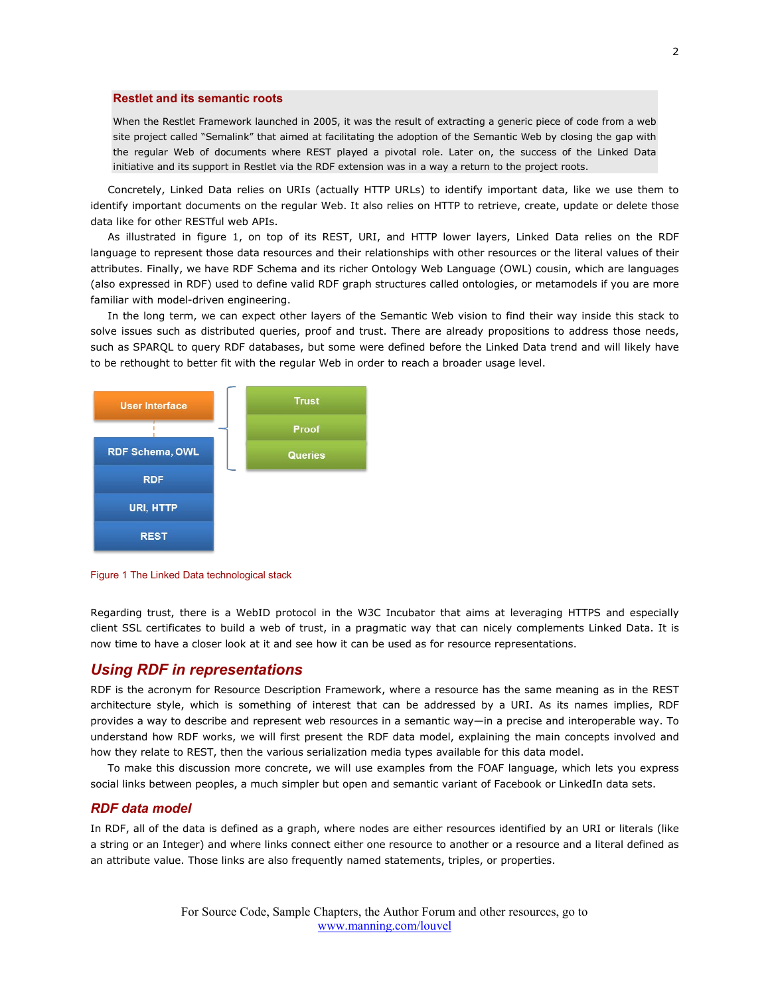#### **Restlet and its semantic roots**

When the Restlet Framework launched in 2005, it was the result of extracting a generic piece of code from a web site project called "Semalink" that aimed at facilitating the adoption of the Semantic Web by closing the gap with the regular Web of documents where REST played a pivotal role. Later on, the success of the Linked Data initiative and its support in Restlet via the RDF extension was in a way a return to the project roots.

Concretely, Linked Data relies on URIs (actually HTTP URLs) to identify important data, like we use them to identify important documents on the regular Web. It also relies on HTTP to retrieve, create, update or delete those data like for other RESTful web APIs.

As illustrated in figure 1, on top of its REST, URI, and HTTP lower layers, Linked Data relies on the RDF language to represent those data resources and their relationships with other resources or the literal values of their attributes. Finally, we have RDF Schema and its richer Ontology Web Language (OWL) cousin, which are languages (also expressed in RDF) used to define valid RDF graph structures called ontologies, or metamodels if you are more familiar with model-driven engineering.

In the long term, we can expect other layers of the Semantic Web vision to find their way inside this stack to solve issues such as distributed queries, proof and trust. There are already propositions to address those needs, such as SPARQL to query RDF databases, but some were defined before the Linked Data trend and will likely have to be rethought to better fit with the regular Web in order to reach a broader usage level.



Figure 1 The Linked Data technological stack

Regarding trust, there is a WebID protocol in the W3C Incubator that aims at leveraging HTTPS and especially client SSL certificates to build a web of trust, in a pragmatic way that can nicely complements Linked Data. It is now time to have a closer look at it and see how it can be used as for resource representations.

## *Using RDF in representations*

RDF is the acronym for Resource Description Framework, where a resource has the same meaning as in the REST architecture style, which is something of interest that can be addressed by a URI. As its names implies, RDF provides a way to describe and represent web resources in a semantic way—in a precise and interoperable way. To understand how RDF works, we will first present the RDF data model, explaining the main concepts involved and how they relate to REST, then the various serialization media types available for this data model.

To make this discussion more concrete, we will use examples from the FOAF language, which lets you express social links between peoples, a much simpler but open and semantic variant of Facebook or LinkedIn data sets.

## *RDF data model*

In RDF, all of the data is defined as a graph, where nodes are either resources identified by an URI or literals (like a string or an Integer) and where links connect either one resource to another or a resource and a literal defined as an attribute value. Those links are also frequently named statements, triples, or properties.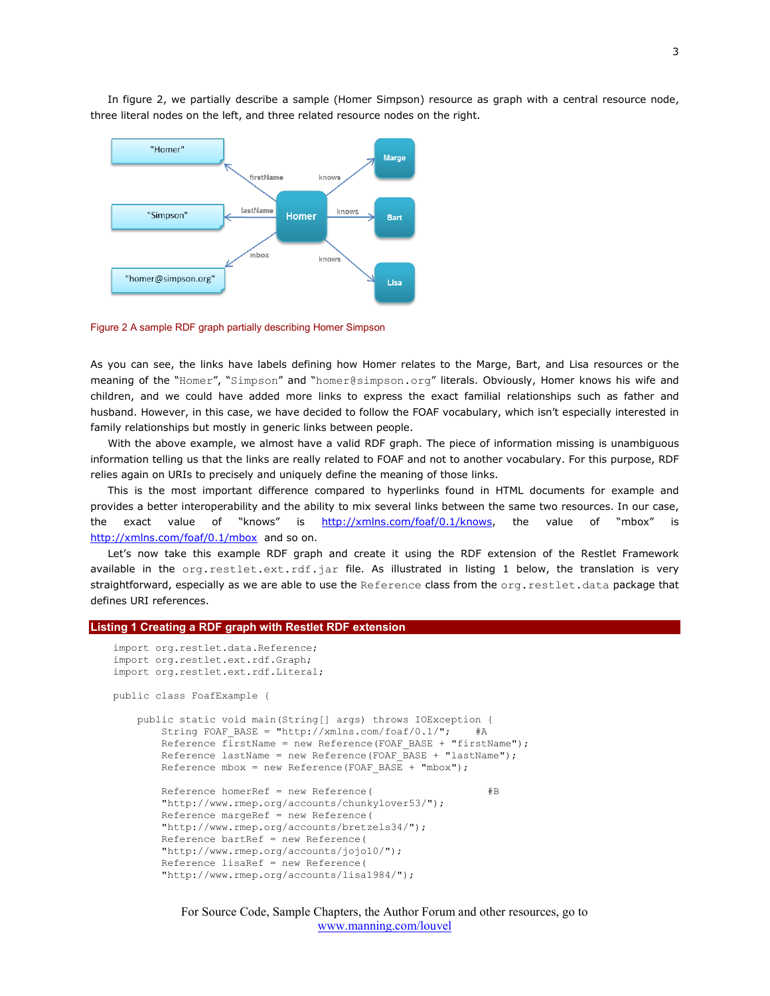In figure 2, we partially describe a sample (Homer Simpson) resource as graph with a central resource node, three literal nodes on the left, and three related resource nodes on the right.



Figure 2 A sample RDF graph partially describing Homer Simpson

As you can see, the links have labels defining how Homer relates to the Marge, Bart, and Lisa resources or the meaning of the "Homer", "Simpson" and "homer@simpson.org" literals. Obviously, Homer knows his wife and children, and we could have added more links to express the exact familial relationships such as father and husband. However, in this case, we have decided to follow the FOAF vocabulary, which isn't especially interested in family relationships but mostly in generic links between people.

With the above example, we almost have a valid RDF graph. The piece of information missing is unambiguous information telling us that the links are really related to FOAF and not to another vocabulary. For this purpose, RDF relies again on URIs to precisely and uniquely define the meaning of those links.

This is the most important difference compared to hyperlinks found in HTML documents for example and provides a better interoperability and the ability to mix several links between the same two resources. In our case, the exact value of "knows" is [http://xmlns.com/foaf/0.1/knows,](http://xmlns.com/foaf/0.1/knows) the value of "mbox" is <http://xmlns.com/foaf/0.1/mbox>and so on.

Let's now take this example RDF graph and create it using the RDF extension of the Restlet Framework available in the org.restlet.ext.rdf.jar file. As illustrated in listing 1 below, the translation is very straightforward, especially as we are able to use the Reference class from the org. restlet.data package that defines URI references.

#### **Listing 1 Creating a RDF graph with Restlet RDF extension**

Reference bartRef = new Reference(

```
import org.restlet.data.Reference;
import org.restlet.ext.rdf.Graph;
import org.restlet.ext.rdf.Literal;
```
public class FoafExample {

```
 public static void main(String[] args) throws IOException {
   String FOAF BASE = "http://xmlns.com/foaf/0.1/"; #A
    Reference firstName = new Reference(FOAF BASE + "firstName");
   Reference lastName = new Reference(FOAF BASE + "lastName");
   Reference mbox = new Reference(FOAF BASE + "mbox");
   Reference homerRef = new Reference( #B "http://www.rmep.org/accounts/chunkylover53/");
     Reference margeRef = new Reference(
     "http://www.rmep.org/accounts/bretzels34/");
```

```
 "http://www.rmep.org/accounts/jojo10/");
 Reference lisaRef = new Reference(
 "http://www.rmep.org/accounts/lisa1984/");
```
For Source Code, Sample Chapters, the Author Forum and other resources, go to [www.manning.com/louvel](http://www.manning.com/louvel)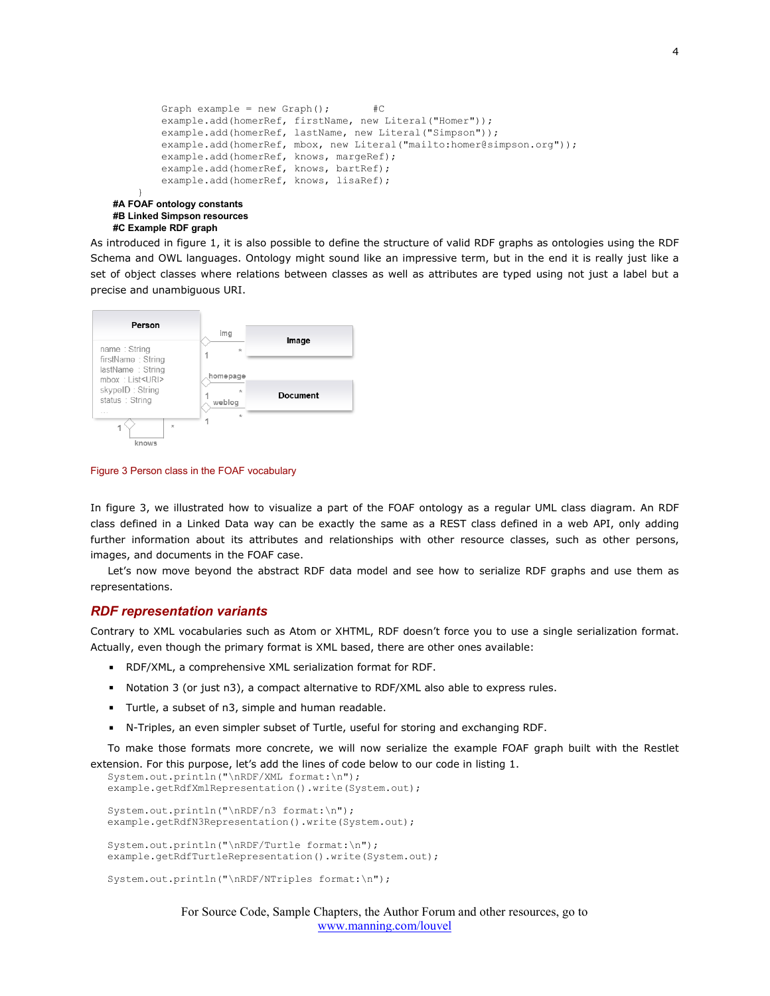```
Graph example = new Graph(); #C example.add(homerRef, firstName, new Literal("Homer"));
        example.add(homerRef, lastName, new Literal("Simpson"));
         example.add(homerRef, mbox, new Literal("mailto:homer@simpson.org"));
        example.add(homerRef, knows, margeRef);
         example.add(homerRef, knows, bartRef);
         example.add(homerRef, knows, lisaRef);
 }
#A FOAF ontology constants
#B Linked Simpson resources
```
### **#C Example RDF graph**

As introduced in figure 1, it is also possible to define the structure of valid RDF graphs as ontologies using the RDF Schema and OWL languages. Ontology might sound like an impressive term, but in the end it is really just like a set of object classes where relations between classes as well as attributes are typed using not just a label but a precise and unambiguous URI.



Figure 3 Person class in the FOAF vocabulary

In figure 3, we illustrated how to visualize a part of the FOAF ontology as a regular UML class diagram. An RDF class defined in a Linked Data way can be exactly the same as a REST class defined in a web API, only adding further information about its attributes and relationships with other resource classes, such as other persons, images, and documents in the FOAF case.

Let's now move beyond the abstract RDF data model and see how to serialize RDF graphs and use them as representations.

#### *RDF representation variants*

Contrary to XML vocabularies such as Atom or XHTML, RDF doesn't force you to use a single serialization format. Actually, even though the primary format is XML based, there are other ones available:

- RDF/XML, a comprehensive XML serialization format for RDF.
- Notation 3 (or just n3), a compact alternative to RDF/XML also able to express rules.
- Turtle, a subset of n3, simple and human readable.
- N-Triples, an even simpler subset of Turtle, useful for storing and exchanging RDF.

To make those formats more concrete, we will now serialize the example FOAF graph built with the Restlet extension. For this purpose, let's add the lines of code below to our code in listing 1.

```
System.out.println("\nRDF/XML format:\n");
example.getRdfXmlRepresentation().write(System.out);
System.out.println("\nRDF/n3 format:\n");
example.getRdfN3Representation().write(System.out);
System.out.println("\nRDF/Turtle format:\n");
example.getRdfTurtleRepresentation().write(System.out);
System.out.println("\nRDF/NTriples format:\n");
```
For Source Code, Sample Chapters, the Author Forum and other resources, go to [www.manning.com/louvel](http://www.manning.com/louvel)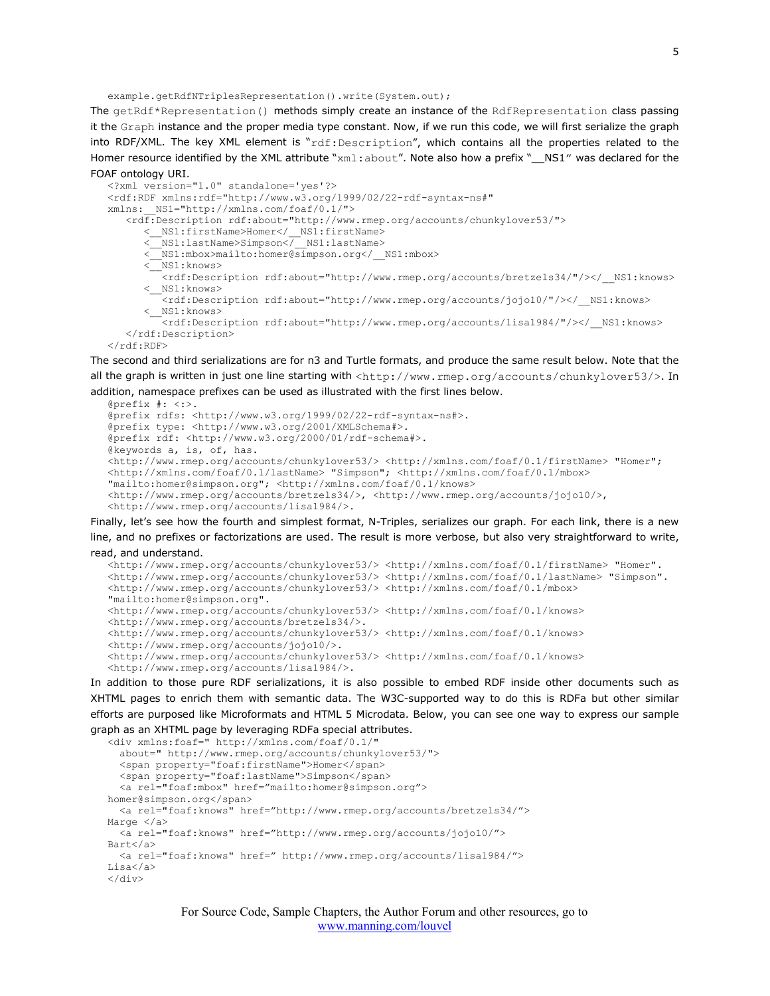example.getRdfNTriplesRepresentation().write(System.out);

The getRdf\*Representation() methods simply create an instance of the RdfRepresentation class passing it the Graph instance and the proper media type constant. Now, if we run this code, we will first serialize the graph into RDF/XML. The key XML element is "rdf:Description", which contains all the properties related to the Homer resource identified by the XML attribute "xml:about". Note also how a prefix "\_\_NS1" was declared for the FOAF ontology URI.

```
<?xml version="1.0" standalone='yes'?>
<rdf:RDF xmlns:rdf="http://www.w3.org/1999/02/22-rdf-syntax-ns#" 
xmlns:__NS1="http://xmlns.com/foaf/0.1/">
    <rdf:Description rdf:about="http://www.rmep.org/accounts/chunkylover53/">
 <__NS1:firstName>Homer</__NS1:firstName>
 <__NS1:lastName>Simpson</__NS1:lastName>
       <__NS1:mbox>mailto:homer@simpson.org</__NS1:mbox>
      \leqNS1:knows>
         <rdf:Description rdf:about="http://www.rmep.org/accounts/bretzels34/"/></ NS1:knows>
       <__NS1:knows>
          <rdf:Description rdf:about="http://www.rmep.org/accounts/jojo10/"/></__NS1:knows>
        NS1:knows>
          <rdf:Description rdf:about="http://www.rmep.org/accounts/lisa1984/"/></__NS1:knows>
   </rdf:Description>
\langle/\mathsf{rdf:RDF}\rangle
```
The second and third serializations are for n3 and Turtle formats, and produce the same result below. Note that the all the graph is written in just one line starting with <http://www.rmep.org/accounts/chunkylover53/>. In addition, namespace prefixes can be used as illustrated with the first lines below.

```
@prefix #: <:>.
@prefix rdfs: <http://www.w3.org/1999/02/22-rdf-syntax-ns#>.
@prefix type: <http://www.w3.org/2001/XMLSchema#>.
@prefix rdf: <http://www.w3.org/2000/01/rdf-schema#>.
@keywords a, is, of, has.
<http://www.rmep.org/accounts/chunkylover53/> <http://xmlns.com/foaf/0.1/firstName> "Homer"; 
<http://xmlns.com/foaf/0.1/lastName> "Simpson"; <http://xmlns.com/foaf/0.1/mbox> 
"mailto:homer@simpson.org"; <http://xmlns.com/foaf/0.1/knows> 
<http://www.rmep.org/accounts/bretzels34/>, <http://www.rmep.org/accounts/jojo10/>, 
<http://www.rmep.org/accounts/lisa1984/>.
```
Finally, let's see how the fourth and simplest format, N-Triples, serializes our graph. For each link, there is a new line, and no prefixes or factorizations are used. The result is more verbose, but also very straightforward to write, read, and understand.

```
<http://www.rmep.org/accounts/chunkylover53/> <http://xmlns.com/foaf/0.1/firstName> "Homer".
<http://www.rmep.org/accounts/chunkylover53/> <http://xmlns.com/foaf/0.1/lastName> "Simpson".
<http://www.rmep.org/accounts/chunkylover53/> <http://xmlns.com/foaf/0.1/mbox> 
"mailto:homer@simpson.org".
<http://www.rmep.org/accounts/chunkylover53/> <http://xmlns.com/foaf/0.1/knows> 
<http://www.rmep.org/accounts/bretzels34/>.
<http://www.rmep.org/accounts/chunkylover53/> <http://xmlns.com/foaf/0.1/knows> 
<http://www.rmep.org/accounts/jojo10/>.
<http://www.rmep.org/accounts/chunkylover53/> <http://xmlns.com/foaf/0.1/knows> 
<http://www.rmep.org/accounts/lisa1984/>.
```
In addition to those pure RDF serializations, it is also possible to embed RDF inside other documents such as XHTML pages to enrich them with semantic data. The W3C-supported way to do this is RDFa but other similar efforts are purposed like Microformats and HTML 5 Microdata. Below, you can see one way to express our sample graph as an XHTML page by leveraging RDFa special attributes.

```
<div xmlns:foaf=" http://xmlns.com/foaf/0.1/"
   about=" http://www.rmep.org/accounts/chunkylover53/">
   <span property="foaf:firstName">Homer</span>
   <span property="foaf:lastName">Simpson</span>
   <a rel="foaf:mbox" href="mailto:homer@simpson.org">
homer@simpson.org</span>
   <a rel="foaf:knows" href="http://www.rmep.org/accounts/bretzels34/">
Marge </a>
  <a rel="foaf:knows" href="http://www.rmep.org/accounts/jojo10/">
Bart</a>
   <a rel="foaf:knows" href=" http://www.rmep.org/accounts/lisa1984/">
Lisa</a>
\langle div>
```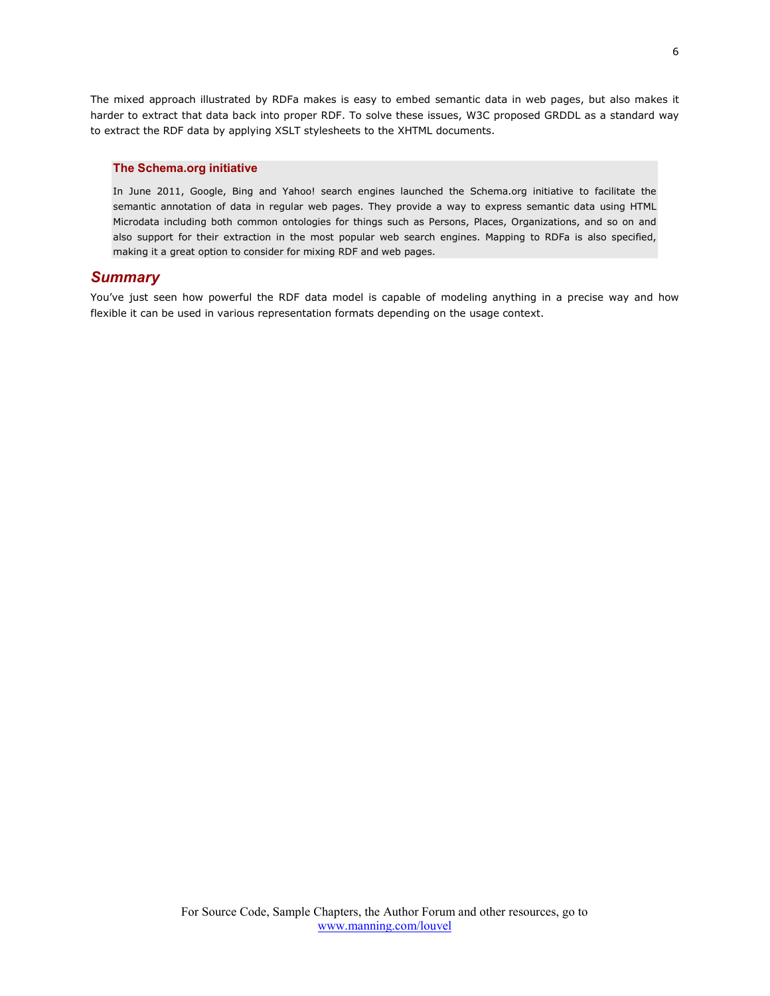The mixed approach illustrated by RDFa makes is easy to embed semantic data in web pages, but also makes it harder to extract that data back into proper RDF. To solve these issues, W3C proposed GRDDL as a standard way to extract the RDF data by applying XSLT stylesheets to the XHTML documents.

#### **The Schema.org initiative**

In June 2011, Google, Bing and Yahoo! search engines launched the Schema.org initiative to facilitate the semantic annotation of data in regular web pages. They provide a way to express semantic data using HTML Microdata including both common ontologies for things such as Persons, Places, Organizations, and so on and also support for their extraction in the most popular web search engines. Mapping to RDFa is also specified, making it a great option to consider for mixing RDF and web pages.

## *Summary*

You've just seen how powerful the RDF data model is capable of modeling anything in a precise way and how flexible it can be used in various representation formats depending on the usage context.